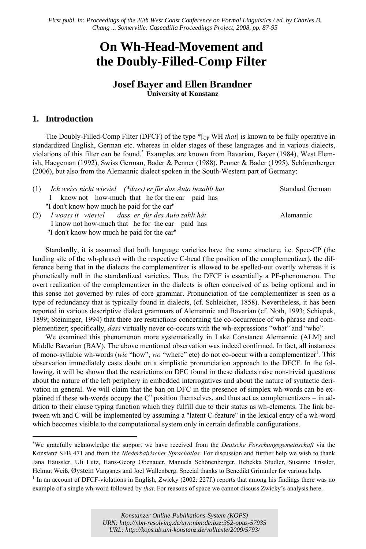*First publ. in: [Proceedings of the 26th West Coast Conference on Formal Linguistics / ed. by Charles B.](http://www.lingref.com/cpp/wccfl/26/)  Chang ... Somerville: Cascadilla Proceedings Project, 2008, pp. 87-95*

# **On Wh-Head-Movement and the Doubly-Filled-Comp Filter**

# **Josef Bayer and Ellen Brandner University of Konstanz**

# **1. Introduction**

l

The Doubly-Filled-Comp Filter (DFCF) of the type \*[CP WH *that*] is known to be fully operative in standardized English, German etc. whereas in older stages of these languages and in various dialects, violations of this filter can be found. \* Examples are known from Bavarian, Bayer (1984), West Flemish, Haegeman (1992), Swiss German, Bader & Penner (1988), Penner & Bader (1995), Schönenberger (2006), but also from the Alemannic dialect spoken in the South-Western part of Germany:

| $(1)$ Ich weiss nicht wieviel (*dass) er für das Auto bezahlt hat | <b>Standard German</b> |
|-------------------------------------------------------------------|------------------------|
| know not how-much that he for the car paid has<br>$\mathbf{L}$    |                        |
| "I don't know how much he paid for the car"                       |                        |
| (2) I woass it wieviel dass er für des Auto zahlt hät             | <b>Alemannic</b>       |
| I know not how-much that he for the car paid has                  |                        |
| "I don't know how much he paid for the car"                       |                        |

Standardly, it is assumed that both language varieties have the same structure, i.e. Spec-CP (the landing site of the wh-phrase) with the respective C-head (the position of the complementizer), the difference being that in the dialects the complementizer is allowed to be spelled-out overtly whereas it is phonetically null in the standardized varieties. Thus, the DFCF is essentially a PF-phenomenon. The overt realization of the complementizer in the dialects is often conceived of as being optional and in this sense not governed by rules of core grammar. Pronunciation of the complementizer is seen as a type of redundancy that is typically found in dialects, (cf. Schleicher, 1858). Nevertheless, it has been reported in various descriptive dialect grammars of Alemannic and Bavarian (cf. Noth, 1993; Schiepek, 1899; Steininger, 1994) that there are restrictions concerning the co-occurrence of wh-phrase and complementizer; specifically, *dass* virtually never co-occurs with the wh-expressions "what" and "who".

We examined this phenomenon more systematically in Lake Constance Alemannic (ALM) and Middle Bavarian (BAV). The above mentioned observation was indeed confirmed. In fact, all instances of mono-syllabic wh-words (*wie* "how", *wo* "where" etc) do not co-occur with a complementizer<sup>1</sup>. This observation immediately casts doubt on a simplistic pronunciation approach to the DFCF. In the following, it will be shown that the restrictions on DFC found in these dialects raise non-trivial questions about the nature of the left periphery in embedded interrogatives and about the nature of syntactic derivation in general. We will claim that the ban on DFC in the presence of simplex wh-words can be explained if these wh-words occupy the  $C^0$  position themselves, and thus act as complementizers – in addition to their clause typing function which they fulfill due to their status as wh-elements. The link between wh and C will be implemented by assuming a "latent C-feature" in the lexical entry of a wh-word which becomes visible to the computational system only in certain definable configurations.

<sup>∗</sup> We gratefully acknowledge the support we have received from the *Deutsche Forschungsgemeinschaft* via the Konstanz SFB 471 and from the *Niederbairischer Sprachatlas.* For discussion and further help we wish to thank Jana Häussler, Uli Lutz, Hans-Georg Obenauer, Manuela Schönenberger, Rebekka Studler, Susanne Trissler, Helmut Weiß, Øystein Vangsnes and Joel Wallenberg. Special thanks to Benedikt Grimmler for various help. 1

In an account of DFCF-violations in English, Zwicky (2002: 227f.) reports that among his findings there was no example of a single wh-word followed by *that*. For reasons of space we cannot discuss Zwicky's analysis here.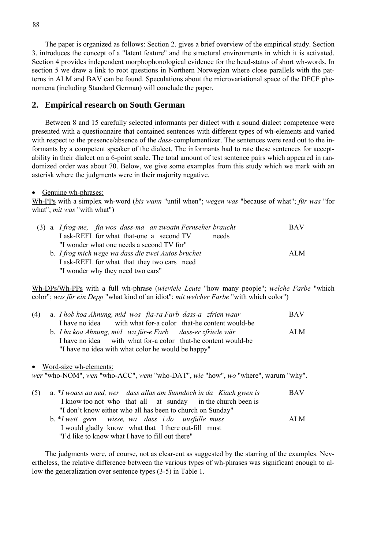The paper is organized as follows: Section 2. gives a brief overview of the empirical study. Section 3. introduces the concept of a "latent feature" and the structural environments in which it is activated. Section 4 provides independent morphophonological evidence for the head-status of short wh-words. In section 5 we draw a link to root questions in Northern Norwegian where close parallels with the patterns in ALM and BAV can be found. Speculations about the microvariational space of the DFCF phenomena (including Standard German) will conclude the paper.

## **2. Empirical research on South German**

Between 8 and 15 carefully selected informants per dialect with a sound dialect competence were presented with a questionnaire that contained sentences with different types of wh-elements and varied with respect to the presence/absence of the *dass*-complementizer. The sentences were read out to the informants by a competent speaker of the dialect. The informants had to rate these sentences for acceptability in their dialect on a 6-point scale. The total amount of test sentence pairs which appeared in randomized order was about 70. Below, we give some examples from this study which we mark with an asterisk where the judgments were in their majority negative.

Genuine wh-phrases:

Wh-PPs with a simplex wh-word (*bis wann* "until when"; *wegen was* "because of what"; *für was* "for what"; *mit was* "with what")

|  | (3) a. I frog-me, fia wos dass-ma an zwoatn Fernseher braucht | <b>BAV</b> |
|--|---------------------------------------------------------------|------------|
|  | I ask-REFL for what that-one a second TV<br>needs             |            |
|  | "I wonder what one needs a second TV for"                     |            |
|  | b. I frog mich wege wa dass die zwei Autos bruchet            | ALM.       |
|  | I ask-REFL for what that they two cars need                   |            |
|  | "I wonder why they need two cars"                             |            |

Wh-DPs/Wh-PPs with a full wh-phrase (*wieviele Leute* "how many people"; *welche Farbe* "which color"; *was für ein Depp* "what kind of an idiot"; *mit welcher Farbe* "with which color")

|  | (4) a. I hob koa Ahnung, mid wos fia-ra Farb dass-a zfrien waar |  | <b>BAV</b> |
|--|-----------------------------------------------------------------|--|------------|
|  | I have no idea with what for-a color that-he content would-be   |  |            |
|  | b. I ha koa Ahnung, mid wa für-e Farb dass-er zfriede wär       |  | ALM.       |
|  | I have no idea with what for-a color that-he content would-be   |  |            |
|  | "I have no idea with what color he would be happy"              |  |            |

#### Word-size wh-elements:

*wer* "who-NOM", *wen* "who-ACC", *wem* "who-DAT", *wie* "how", *wo* "where", warum "why".

| (5) | a. *I woass aa ned, wer dass allas am Sunndoch in da Kiach gwen is | <b>BAV</b> |
|-----|--------------------------------------------------------------------|------------|
|     | I know too not who that all at sunday in the church been is        |            |
|     | "I don't know either who all has been to church on Sunday"         |            |
|     | b. *I wett gern wisse, wa dass i do uusfülle muss                  | ALM.       |
|     | I would gladly know what that I there out-fill must                |            |
|     | "I'd like to know what I have to fill out there"                   |            |

The judgments were, of course, not as clear-cut as suggested by the starring of the examples. Nevertheless, the relative difference between the various types of wh-phrases was significant enough to allow the generalization over sentence types (3-5) in Table 1.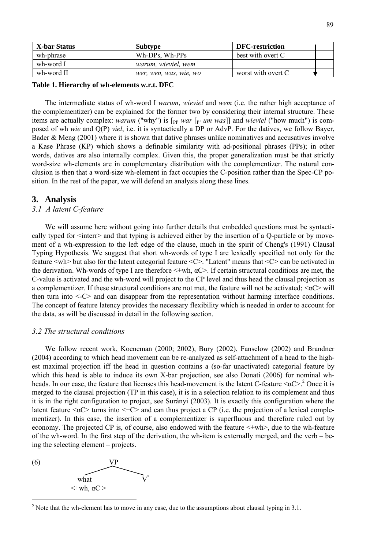| X-bar Status | <b>Subtype</b>         | <b>DFC-restriction</b> |
|--------------|------------------------|------------------------|
| wh-phrase    | Wh-DPs, Wh-PPs         | best with overt C      |
| wh-word I    | warum, wieviel, wem    |                        |
| wh-word II   | wer, wen, was, wie, wo | worst with overt C     |

#### **Table 1. Hierarchy of wh-elements w.r.t. DFC**

The intermediate status of wh-word I *warum*, *wieviel* and *wem* (i.e. the rather high acceptance of the complementizer) can be explained for the former two by considering their internal structure. These items are actually complex: *warum* ("why") is  $[p<sub>P</sub> war [p<sub>P</sub> um ~~was~~]]$  and *wieviel* ("how much") is composed of wh *wie* and Q(P) *viel*, i.e. it is syntactically a DP or AdvP. For the datives, we follow Bayer, Bader & Meng (2001) where it is shown that dative phrases unlike nominatives and accusatives involve a Kase Phrase (KP) which shows a definable similarity with ad-positional phrases (PPs); in other words, datives are also internally complex. Given this, the proper generalization must be that strictly word-size wh-elements are in complementary distribution with the complementizer. The natural conclusion is then that a word-size wh-element in fact occupies the C-position rather than the Spec-CP position. In the rest of the paper, we will defend an analysis along these lines.

#### **3. Analysis**

## *3.1 A latent C-feature*

We will assume here without going into further details that embedded questions must be syntactically typed for  $\le$ interr $\ge$  and that typing is achieved either by the insertion of a Q-particle or by movement of a wh-expression to the left edge of the clause, much in the spirit of Cheng's (1991) Clausal Typing Hypothesis. We suggest that short wh-words of type I are lexically specified not only for the feature <wh> but also for the latent categorial feature <C>. "Latent" means that <C> can be activated in the derivation. Wh-words of type I are therefore  $\lt$ +wh,  $\alpha$ C>. If certain structural conditions are met, the C-value is activated and the wh-word will project to the CP level and thus head the clausal projection as a complementizer. If these structural conditions are not met, the feature will not be activated;  $\langle \alpha C \rangle$  will then turn into <-C> and can disappear from the representation without harming interface conditions. The concept of feature latency provides the necessary flexibility which is needed in order to account for the data, as will be discussed in detail in the following section.

#### *3.2 The structural conditions*

We follow recent work, Koeneman (2000; 2002), Bury (2002), Fanselow (2002) and Brandner (2004) according to which head movement can be re-analyzed as self-attachment of a head to the highest maximal projection iff the head in question contains a (so-far unactivated) categorial feature by which this head is able to induce its own X-bar projection, see also Donati (2006) for nominal whheads. In our case, the feature that licenses this head-movement is the latent C-feature  $\alpha$ C $>$ <sup>2</sup>. Once it is merged to the clausal projection (TP in this case), it is in a selection relation to its complement and thus it is in the right configuration to project, see Surányi (2003). It is exactly this configuration where the latent feature  $\alpha$ C> turns into  $\alpha$ +C> and can thus project a CP (i.e. the projection of a lexical complementizer). In this case, the insertion of a complementizer is superfluous and therefore ruled out by economy. The projected CP is, of course, also endowed with the feature  $\lt$ +wh>, due to the wh-feature of the wh-word. In the first step of the derivation, the wh-item is externally merged, and the verb – being the selecting element – projects.



<sup>&</sup>lt;sup>2</sup> Note that the wh-element has to move in any case, due to the assumptions about clausal typing in 3.1.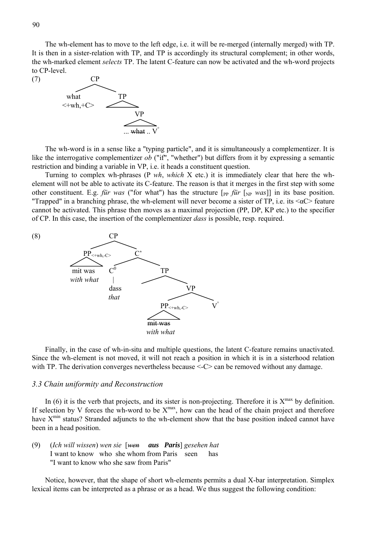The wh-element has to move to the left edge, i.e. it will be re-merged (internally merged) with TP. It is then in a sister-relation with TP, and TP is accordingly its structural complement; in other words, the wh-marked element *selects* TP. The latent C-feature can now be activated and the wh-word projects to CP-level.



The wh-word is in a sense like a "typing particle", and it is simultaneously a complementizer. It is like the interrogative complementizer *ob* ("if", "whether") but differs from it by expressing a semantic restriction and binding a variable in VP, i.e. it heads a constituent question.

Turning to complex wh-phrases (P *wh*, *which* X etc.) it is immediately clear that here the whelement will not be able to activate its C-feature. The reason is that it merges in the first step with some other constituent. E.g. *für was* ("for what") has the structure  $\begin{bmatrix} p_{\text{P}} \text{ für } [\text{NP} \text{ was}]] \end{bmatrix}$  in its base position. "Trapped" in a branching phrase, the wh-element will never become a sister of TP, i.e. its  $\langle \alpha C \rangle$  feature cannot be activated. This phrase then moves as a maximal projection (PP, DP, KP etc.) to the specifier of CP. In this case, the insertion of the complementizer *dass* is possible, resp. required.



Finally, in the case of wh-in-situ and multiple questions, the latent C-feature remains unactivated. Since the wh-element is not moved, it will not reach a position in which it is in a sisterhood relation with TP. The derivation converges nevertheless because <- $C$  can be removed without any damage.

#### *3.3 Chain uniformity and Reconstruction*

In (6) it is the verb that projects, and its sister is non-projecting. Therefore it is  $X^{max}$  by definition. If selection by V forces the wh-word to be  $X^{max}$ , how can the head of the chain project and therefore have X<sup>min</sup> status? Stranded adjuncts to the wh-element show that the base position indeed cannot have been in a head position.

(9) (*Ich will wissen*) *wen sie* [*wen aus Paris*] *gesehen hat* I want to know who she whom from Paris seen has "I want to know who she saw from Paris"

Notice, however, that the shape of short wh-elements permits a dual X-bar interpretation. Simplex lexical items can be interpreted as a phrase or as a head. We thus suggest the following condition: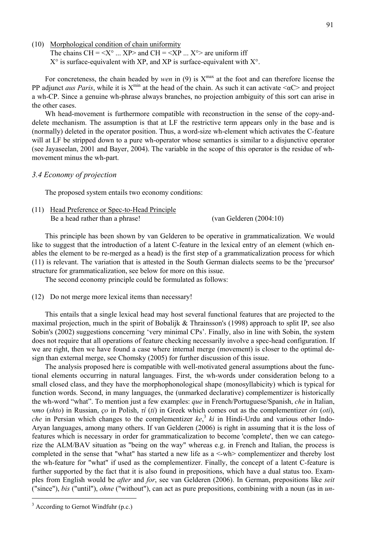(10) Morphological condition of chain uniformity

The chains  $CH = \langle X^{\circ} \dots XP \rangle$  and  $CH = \langle XP \dots X^{\circ} \rangle$  are uniform iff  $X^{\circ}$  is surface-equivalent with XP, and XP is surface-equivalent with  $X^{\circ}$ .

For concreteness, the chain headed by *wen* in  $(9)$  is  $X^{max}$  at the foot and can therefore license the PP adjunct *aus Paris*, while it is  $X^{min}$  at the head of the chain. As such it can activate  $\langle \alpha C \rangle$  and project a wh-CP. Since a genuine wh-phrase always branches, no projection ambiguity of this sort can arise in the other cases.

Wh head-movement is furthermore compatible with reconstruction in the sense of the copy-anddelete mechanism. The assumption is that at LF the restrictive term appears only in the base and is (normally) deleted in the operator position. Thus, a word-size wh-element which activates the C-feature will at LF be stripped down to a pure wh-operator whose semantics is similar to a disjunctive operator (see Jayaseelan, 2001 and Bayer, 2004). The variable in the scope of this operator is the residue of whmovement minus the wh-part.

#### *3.4 Economy of projection*

The proposed system entails two economy conditions:

(11) Head Preference or Spec-to-Head Principle Be a head rather than a phrase! (van Gelderen (2004:10)

This principle has been shown by van Gelderen to be operative in grammaticalization. We would like to suggest that the introduction of a latent C-feature in the lexical entry of an element (which enables the element to be re-merged as a head) is the first step of a grammaticalization process for which (11) is relevant. The variation that is attested in the South German dialects seems to be the 'precursor' structure for grammaticalization, see below for more on this issue.

The second economy principle could be formulated as follows:

(12) Do not merge more lexical items than necessary!

This entails that a single lexical head may host several functional features that are projected to the maximal projection, much in the spirit of Bobalijk  $\&$  Thrainsson's (1998) approach to split IP, see also Sobin's (2002) suggestions concerning 'very minimal CPs'. Finally, also in line with Sobin, the system does not require that all operations of feature checking necessarily involve a spec-head configuration. If we are right, then we have found a case where internal merge (movement) is closer to the optimal design than external merge, see Chomsky (2005) for further discussion of this issue.

The analysis proposed here is compatible with well-motivated general assumptions about the functional elements occurring in natural languages. First, the wh-words under consideration belong to a small closed class, and they have the morphophonological shape (monosyllabicity) which is typical for function words. Second, in many languages, the (unmarked declarative) complementizer is historically the wh-word "what". To mention just a few examples: *que* in French/Portuguese/Spanish, *che* in Italian, *что* (*shto*) in Russian, *ço* in Polish, *τί* (*ti*) in Greek which comes out as the complementizer *ότι* (*oti*), *che* in Persian which changes to the complementizer *ke*, <sup>3</sup> *ki* in Hindi-Urdu and various other Indo-Aryan languages, among many others. If van Gelderen (2006) is right in assuming that it is the loss of features which is necessary in order for grammaticalization to become 'complete', then we can categorize the ALM/BAV situation as "being on the way" whereas e.g. in French and Italian, the process is completed in the sense that "what" has started a new life as a <-wh> complementizer and thereby lost the wh-feature for "what" if used as the complementizer. Finally, the concept of a latent C-feature is further supported by the fact that it is also found in prepositions, which have a dual status too. Examples from English would be *after* and *for*, see van Gelderen (2006). In German, prepositions like *seit* ("since"), *bis* ("until"), *ohne* ("without"), can act as pure prepositions, combining with a noun (as in *un-*

 $3$  According to Gernot Windfuhr (p.c.)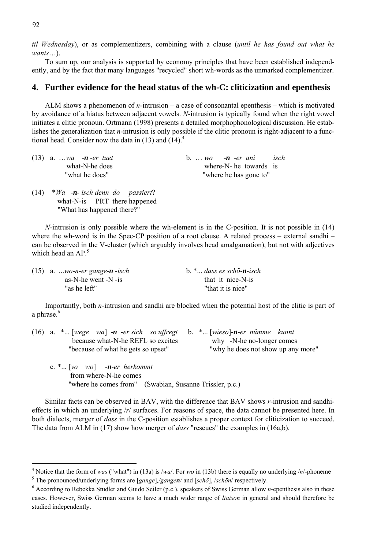*til Wednesday*), or as complementizers, combining with a clause (*until he has found out what he wants*…).

To sum up, our analysis is supported by economy principles that have been established independently, and by the fact that many languages "recycled" short wh-words as the unmarked complementizer.

# **4. Further evidence for the head status of the wh-C: cliticization and epenthesis**

ALM shows a phenomenon of *n*-intrusion – a case of consonantal epenthesis – which is motivated by avoidance of a hiatus between adjacent vowels. *N*-intrusion is typically found when the right vowel initiates a clitic pronoun. Ortmann (1998) presents a detailed morphophonological discussion. He establishes the generalization that *n*-intrusion is only possible if the clitic pronoun is right-adjacent to a functional head. Consider now the data in  $(13)$  and  $(14)$ .<sup>4</sup>

| $(13)$ a. wa - <b>n</b> -er tuet | isch<br>b. $wo$ -n -er ani |
|----------------------------------|----------------------------|
| what-N-he does                   | where-N- he towards is     |
| "what he does"                   | "where he has gone to"     |

(14) \**Wa -n- isch denn do passiert*? what-N-is PRT there happened "What has happened there?"

*N*-intrusion is only possible where the wh-element is in the C-position. It is not possible in (14) where the wh-word is in the Spec-CP position of a root clause. A related process – external sandhi – can be observed in the V-cluster (which arguably involves head amalgamation), but not with adjectives which head an  $AP<sup>5</sup>$ .

| $(15)$ a. wo-n-er gange-n -isch | b. * dass es schö-n-isch |
|---------------------------------|--------------------------|
| as-N-he went -N -is             | that it nice-N-is        |
| "as he left"                    | "that it is nice"        |

Importantly, both *n*-intrusion and sandhi are blocked when the potential host of the clitic is part of a phrase.<sup>6</sup>

| (16) a. $\ast$ [wege wa] -n -er sich so uffregt b. $\ast$ [wieso]-n-er nümme kunnt |                                    |
|------------------------------------------------------------------------------------|------------------------------------|
| because what-N-he REFL so excites                                                  | why -N-he no-longer comes          |
| "because of what he gets so upset"                                                 | "why he does not show up any more" |
| c. $\mathbf{X}$ [vo wo] -n-er herkommt<br>from where N he comes                    |                                    |

 from where-N-he comes "where he comes from" (Swabian, Susanne Trissler, p.c.)

Similar facts can be observed in BAV, with the difference that BAV shows *r*-intrusion and sandhieffects in which an underlying /*r*/ surfaces. For reasons of space, the data cannot be presented here. In both dialects, merger of *dass* in the C-position establishes a proper context for cliticization to succeed. The data from ALM in (17) show how merger of *dass* "rescues" the examples in (16a,b).

<sup>&</sup>lt;sup>4</sup> Notice that the form of *was* ("what") in (13a) is /*wa*/. For *wo* in (13b) there is equally no underlying /*n*/-phoneme  $\frac{5}{5}$ . The propounced/underlying forms are [gauge] (gaugen/and [gabe] (gaben/gapeortively

The pronounced/underlying forms are [*gange*]*,/gangen/* and [*schö*], /*schön*/ respectively. 6

According to Rebekka Studler and Guido Seiler (p.c.), speakers of Swiss German allow *n*-epenthesis also in these cases. However, Swiss German seems to have a much wider range of *liaison* in general and should therefore be studied independently.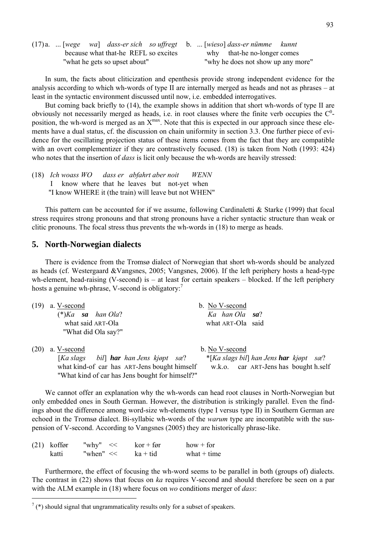|                               |  |  | $(17)a$ .  [wege wa] dass-er sich so uffregt b.  [wieso] dass-er nümme kunnt |                                    |  |                             |  |
|-------------------------------|--|--|------------------------------------------------------------------------------|------------------------------------|--|-----------------------------|--|
|                               |  |  | because what that-he REFL so excites                                         |                                    |  | why that-he no-longer comes |  |
| "what he gets so upset about" |  |  |                                                                              | "why he does not show up any more" |  |                             |  |

In sum, the facts about cliticization and epenthesis provide strong independent evidence for the analysis according to which wh-words of type II are internally merged as heads and not as phrases – at least in the syntactic environment discussed until now, i.e. embedded interrogatives.

But coming back briefly to (14), the example shows in addition that short wh-words of type II are obviously not necessarily merged as heads, i.e. in root clauses where the finite verb occupies the  $C^0$ position, the wh-word is merged as an  $X^{max}$ . Note that this is expected in our approach since these elements have a dual status, cf. the discussion on chain uniformity in section 3.3. One further piece of evidence for the oscillating projection status of these items comes from the fact that they are compatible with an overt complementizer if they are contrastively focused. (18) is taken from Noth (1993: 424) who notes that the insertion of *dass* is licit only because the wh-words are heavily stressed:

(18) *Ich woass WO dass er abfahrt aber noit WENN* I know where that he leaves but not-yet when "I know WHERE it (the train) will leave but not WHEN"

This pattern can be accounted for if we assume, following Cardinaletti  $\&$  Starke (1999) that focal stress requires strong pronouns and that strong pronouns have a richer syntactic structure than weak or clitic pronouns. The focal stress thus prevents the wh-words in (18) to merge as heads.

# **5. North-Norwegian dialects**

There is evidence from the Tromsø dialect of Norwegian that short wh-words should be analyzed as heads (cf. Westergaard &Vangsnes, 2005; Vangsnes, 2006). If the left periphery hosts a head-type wh-element, head-raising (V-second) is  $-$  at least for certain speakers  $-$  blocked. If the left periphery hosts a genuine wh-phrase, V-second is obligatory:

| (19) | a. V-second                                     | b. No V-second                                |
|------|-------------------------------------------------|-----------------------------------------------|
|      | $(*)$ Ka sa han Ola?                            | Ka han Ola sa?                                |
|      | what said ART-Ola                               | what ART-Ola said                             |
|      | "What did Ola say?"                             |                                               |
| (20) | a. V-second                                     | b. No V-second                                |
|      | [Ka slags bil] <b>har</b> han Jens kjøpt sæ?    | *[Ka slags bil] han Jens <b>har</b> kjøpt sæ? |
|      | what kind-of car has ART-Jens bought himself    | w.k.o. car ART-Jens has bought h.self         |
|      | "What kind of car has Jens bought for himself?" |                                               |

We cannot offer an explanation why the wh-words can head root clauses in North-Norwegian but only embedded ones in South German. However, the distribution is strikingly parallel. Even the findings about the difference among word-size wh-elements (type I versus type II) in Southern German are echoed in the Tromsø dialect. Bi-syllabic wh-words of the *warum* type are incompatible with the suspension of V-second. According to Vangsnes (2005) they are historically phrase-like.

| $(21)$ koffør | "why"<br><< | $kor + for$ | $how + for$   |
|---------------|-------------|-------------|---------------|
| katti         | "when" $<<$ | $ka + tid$  | what $+$ time |

Furthermore, the effect of focusing the wh-word seems to be parallel in both (groups of) dialects. The contrast in (22) shows that focus on *ka* requires V-second and should therefore be seen on a par with the ALM example in (18) where focus on *wo* conditions merger of *dass*:

 $7$  (\*) should signal that ungrammaticality results only for a subset of speakers.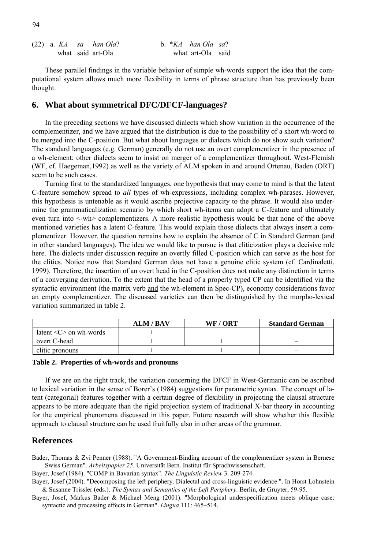|  |  | $(22)$ a. KA sa han Ola? |  | b. $*KA$ han Ola sa? |  |
|--|--|--------------------------|--|----------------------|--|
|  |  | what said art-Ola        |  | what art-Ola said    |  |

These parallel findings in the variable behavior of simple wh-words support the idea that the computational system allows much more flexibility in terms of phrase structure than has previously been thought.

## **6. What about symmetrical DFC/DFCF-languages?**

In the preceding sections we have discussed dialects which show variation in the occurrence of the complementizer, and we have argued that the distribution is due to the possibility of a short wh-word to be merged into the C-position. But what about languages or dialects which do not show such variation? The standard languages (e.g. German) generally do not use an overt complementizer in the presence of a wh-element; other dialects seem to insist on merger of a complementizer throughout. West-Flemish (WF, cf. Haegeman,1992) as well as the variety of ALM spoken in and around Ortenau, Baden (ORT) seem to be such cases.

Turning first to the standardized languages, one hypothesis that may come to mind is that the latent C-feature somehow spread to *all* types of wh-expressions, including complex wh-phrases. However, this hypothesis is untenable as it would ascribe projective capacity to the phrase. It would also undermine the grammaticalization scenario by which short wh-items can adopt a C-feature and ultimately even turn into <-wh> complementizers. A more realistic hypothesis would be that none of the above mentioned varieties has a latent C-feature. This would explain those dialects that always insert a complementizer. However, the question remains how to explain the absence of C in Standard German (and in other standard languages). The idea we would like to pursue is that cliticization plays a decisive role here. The dialects under discussion require an overtly filled C-position which can serve as the host for the clitics. Notice now that Standard German does not have a genuine clitic system (cf. Cardinaletti, 1999). Therefore, the insertion of an overt head in the C-position does not make any distinction in terms of a converging derivation. To the extent that the head of a properly typed CP can be identified via the syntactic environment (the matrix verb and the wh-element in Spec-CP), economy considerations favor an empty complementizer. The discussed varieties can then be distinguished by the morpho-lexical variation summarized in table 2.

|                                        | <b>ALM/BAV</b> | WF / ORT | <b>Standard German</b> |
|----------------------------------------|----------------|----------|------------------------|
| latent $\langle C \rangle$ on wh-words |                |          |                        |
| overt C-head                           |                |          |                        |
| clitic pronouns                        |                |          |                        |

#### **Table 2. Properties of wh-words and pronouns**

If we are on the right track, the variation concerning the DFCF in West-Germanic can be ascribed to lexical variation in the sense of Borer's (1984) suggestions for parametric syntax. The concept of latent (categorial) features together with a certain degree of flexibility in projecting the clausal structure appears to be more adequate than the rigid projection system of traditional X-bar theory in accounting for the empirical phenomena discussed in this paper. Future research will show whether this flexible approach to clausal structure can be used fruitfully also in other areas of the grammar.

## **References**

Bader, Thomas & Zvi Penner (1988). "A Government-Binding account of the complementizer system in Bernese Swiss German". *Arbeitspapier 25*. Universität Bern. Institut für Sprachwissenschaft.

Bayer, Josef (1984). "COMP in Bavarian syntax". *The Linguistic Review* 3. 209-274.

Bayer, Josef (2004). "Decomposing the left periphery. Dialectal and cross-linguistic evidence ". In Horst Lohnstein & Susanne Trissler (eds.). *The Syntax and Semantics of the Left Periphery*. Berlin, de Gruyter, 59-95.

Bayer, Josef, Markus Bader & Michael Meng (2001). "Morphological underspecification meets oblique case: syntactic and processing effects in German". *Lingua* 111: 465–514.